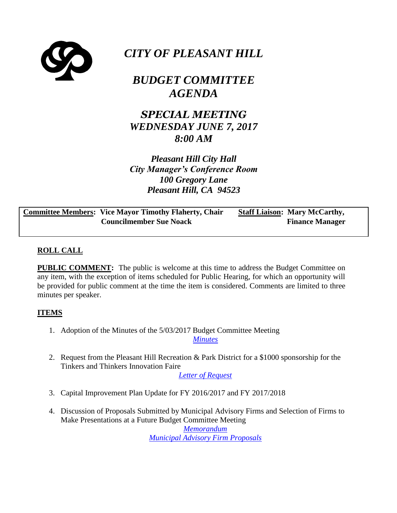

# *CITY OF PLEASANT HILL*

## *BUDGET COMMITTEE AGENDA*

*SPECIAL MEETING WEDNESDAY JUNE 7, 2017 8:00 AM*

*Pleasant Hill City Hall City Manager's Conference Room 100 Gregory Lane Pleasant Hill, CA 94523*

**Committee Members: Vice Mayor Timothy Flaherty, Chair Councilmember Sue Noack Staff Liaison: Mary McCarthy, Finance Manager**

### **ROLL CALL**

**PUBLIC COMMENT:** The public is welcome at this time to address the Budget Committee on any item, with the exception of items scheduled for Public Hearing, for which an opportunity will be provided for public comment at the time the item is considered. Comments are limited to three minutes per speaker.

### **ITEMS**

1. Adoption of the Minutes of the 5/03/2017 Budget Committee Meeting *[Minutes](https://ca-pleasanthill3.civicplus.com/DocumentCenter/View/16830)*

2. Request from the Pleasant Hill Recreation & Park District for a \$1000 sponsorship for the Tinkers and Thinkers Innovation Faire

*[Letter of Request](https://ca-pleasanthill3.civicplus.com/DocumentCenter/View/16831)*

- 3. Capital Improvement Plan Update for FY 2016/2017 and FY 2017/2018
- 4. Discussion of Proposals Submitted by Municipal Advisory Firms and Selection of Firms to Make Presentations at a Future Budget Committee Meeting

*[Memorandum](https://ca-pleasanthill3.civicplus.com/DocumentCenter/View/16832) [Municipal Advisory Firm Proposals](https://ca-pleasanthill3.civicplus.com/DocumentCenter/View/16833)*